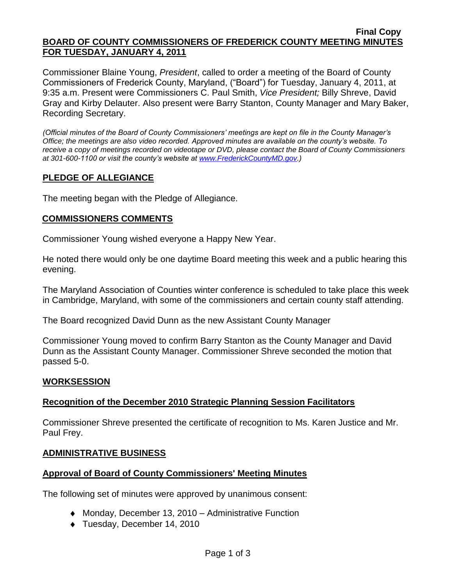#### **Final Copy BOARD OF COUNTY COMMISSIONERS OF FREDERICK COUNTY MEETING MINUTES FOR TUESDAY, JANUARY 4, 2011**

Commissioner Blaine Young, *President*, called to order a meeting of the Board of County Commissioners of Frederick County, Maryland, ("Board") for Tuesday, January 4, 2011, at 9:35 a.m. Present were Commissioners C. Paul Smith, *Vice President;* Billy Shreve, David Gray and Kirby Delauter. Also present were Barry Stanton, County Manager and Mary Baker, Recording Secretary.

*(Official minutes of the Board of County Commissioners' meetings are kept on file in the County Manager's Office; the meetings are also video recorded. Approved minutes are available on the county's website. To receive a copy of meetings recorded on videotape or DVD, please contact the Board of County Commissioners at 301-600-1100 or visit the county's website at [www.FrederickCountyMD.gov.](http://www.frederickcountymd.gov/))*

# **PLEDGE OF ALLEGIANCE**

The meeting began with the Pledge of Allegiance.

## **COMMISSIONERS COMMENTS**

Commissioner Young wished everyone a Happy New Year.

He noted there would only be one daytime Board meeting this week and a public hearing this evening.

The Maryland Association of Counties winter conference is scheduled to take place this week in Cambridge, Maryland, with some of the commissioners and certain county staff attending.

The Board recognized David Dunn as the new Assistant County Manager

Commissioner Young moved to confirm Barry Stanton as the County Manager and David Dunn as the Assistant County Manager. Commissioner Shreve seconded the motion that passed 5-0.

## **WORKSESSION**

## **Recognition of the December 2010 Strategic Planning Session Facilitators**

Commissioner Shreve presented the certificate of recognition to Ms. Karen Justice and Mr. Paul Frey.

## **ADMINISTRATIVE BUSINESS**

## **Approval of Board of County Commissioners' Meeting Minutes**

The following set of minutes were approved by unanimous consent:

- ◆ Monday, December 13, 2010 Administrative Function
- Tuesday, December 14, 2010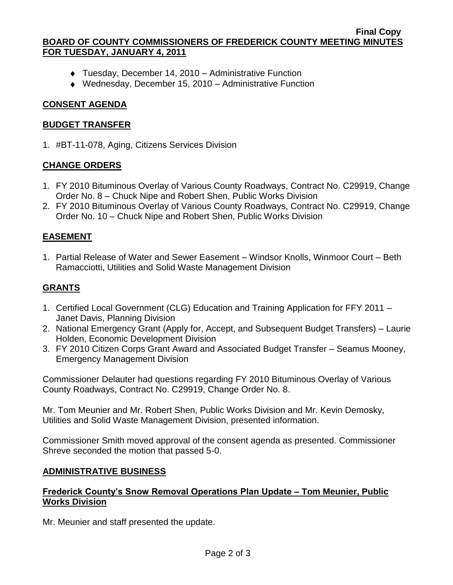### **Final Copy BOARD OF COUNTY COMMISSIONERS OF FREDERICK COUNTY MEETING MINUTES FOR TUESDAY, JANUARY 4, 2011**

- Tuesday, December 14, 2010 Administrative Function
- ◆ Wednesday, December 15, 2010 Administrative Function

## **CONSENT AGENDA**

### **BUDGET TRANSFER**

1. #BT-11-078, Aging, Citizens Services Division

## **CHANGE ORDERS**

- 1. FY 2010 Bituminous Overlay of Various County Roadways, Contract No. C29919, Change Order No. 8 – Chuck Nipe and Robert Shen, Public Works Division
- 2. FY 2010 Bituminous Overlay of Various County Roadways, Contract No. C29919, Change Order No. 10 – Chuck Nipe and Robert Shen, Public Works Division

# **EASEMENT**

1. Partial Release of Water and Sewer Easement – Windsor Knolls, Winmoor Court – Beth Ramacciotti, Utilities and Solid Waste Management Division

# **GRANTS**

- 1. Certified Local Government (CLG) Education and Training Application for FFY 2011 Janet Davis, Planning Division
- 2. National Emergency Grant (Apply for, Accept, and Subsequent Budget Transfers) Laurie Holden, Economic Development Division
- 3. FY 2010 Citizen Corps Grant Award and Associated Budget Transfer Seamus Mooney, Emergency Management Division

Commissioner Delauter had questions regarding FY 2010 Bituminous Overlay of Various County Roadways, Contract No. C29919, Change Order No. 8.

Mr. Tom Meunier and Mr. Robert Shen, Public Works Division and Mr. Kevin Demosky, Utilities and Solid Waste Management Division, presented information.

Commissioner Smith moved approval of the consent agenda as presented. Commissioner Shreve seconded the motion that passed 5-0.

## **ADMINISTRATIVE BUSINESS**

## **Frederick County's Snow Removal Operations Plan Update – Tom Meunier, Public Works Division**

Mr. Meunier and staff presented the update.